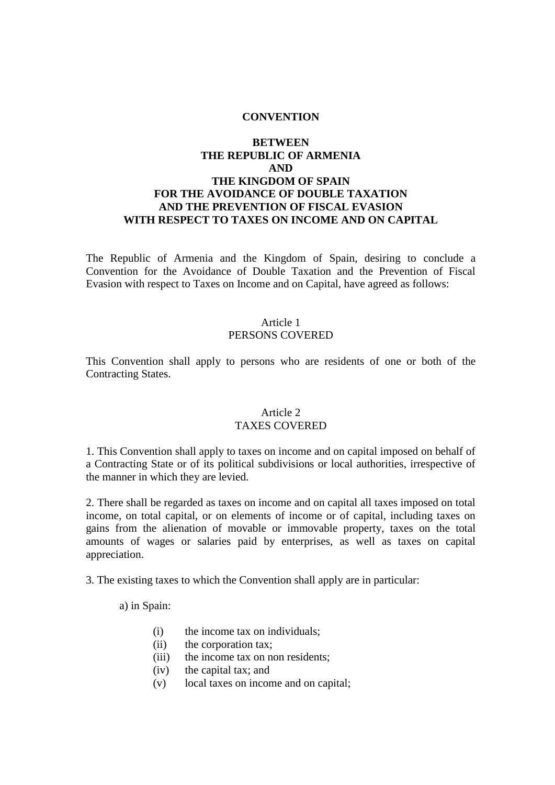### **CONVENTION**

# **BETWEEN THE REPUBLIC OF ARMENIA AND THE KINGDOM OF SPAIN FOR THE AVOIDANCE OF DOUBLE TAXATION AND THE PREVENTION OF FISCAL EVASION WITH RESPECT TO TAXES ON INCOME AND ON CAPITAL**

The Republic of Armenia and the Kingdom of Spain, desiring to conclude a Convention for the Avoidance of Double Taxation and the Prevention of Fiscal Evasion with respect to Taxes on Income and on Capital, have agreed as follows:

### Article 1 PERSONS COVERED

This Convention shall apply to persons who are residents of one or both of the Contracting States.

### Article 2 TAXES COVERED

1. This Convention shall apply to taxes on income and on capital imposed on behalf of a Contracting State or of its political subdivisions or local authorities, irrespective of the manner in which they are levied.

2. There shall be regarded as taxes on income and on capital all taxes imposed on total income, on total capital, or on elements of income or of capital, including taxes on gains from the alienation of movable or immovable property, taxes on the total amounts of wages or salaries paid by enterprises, as well as taxes on capital appreciation.

3. The existing taxes to which the Convention shall apply are in particular:

a) in Spain:

- (i) the income tax on individuals;
- (ii) the corporation tax;
- (iii) the income tax on non residents;
- (iv) the capital tax; and
- (v) local taxes on income and on capital;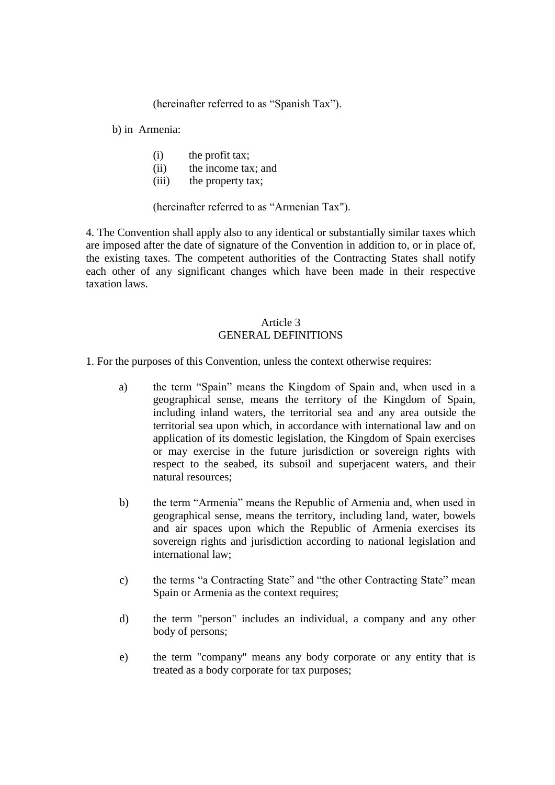(hereinafter referred to as "Spanish Tax").

b) in Armenia:

- (i) the profit tax;
- (ii) the income tax; and
- (iii) the property tax;

(hereinafter referred to as "Armenian Tax").

4. The Convention shall apply also to any identical or substantially similar taxes which are imposed after the date of signature of the Convention in addition to, or in place of, the existing taxes. The competent authorities of the Contracting States shall notify each other of any significant changes which have been made in their respective taxation laws.

# Article 3 GENERAL DEFINITIONS

1. For the purposes of this Convention, unless the context otherwise requires:

- a) the term "Spain" means the Kingdom of Spain and, when used in a geographical sense, means the territory of the Kingdom of Spain, including inland waters, the territorial sea and any area outside the territorial sea upon which, in accordance with international law and on application of its domestic legislation, the Kingdom of Spain exercises or may exercise in the future jurisdiction or sovereign rights with respect to the seabed, its subsoil and superjacent waters, and their natural resources;
- b) the term "Armenia" means the Republic of Armenia and, when used in geographical sense, means the territory, including land, water, bowels and air spaces upon which the Republic of Armenia exercises its sovereign rights and jurisdiction according to national legislation and international law;
- c) the terms "a Contracting State" and "the other Contracting State" mean Spain or Armenia as the context requires;
- d) the term "person" includes an individual, a company and any other body of persons;
- e) the term "company" means any body corporate or any entity that is treated as a body corporate for tax purposes;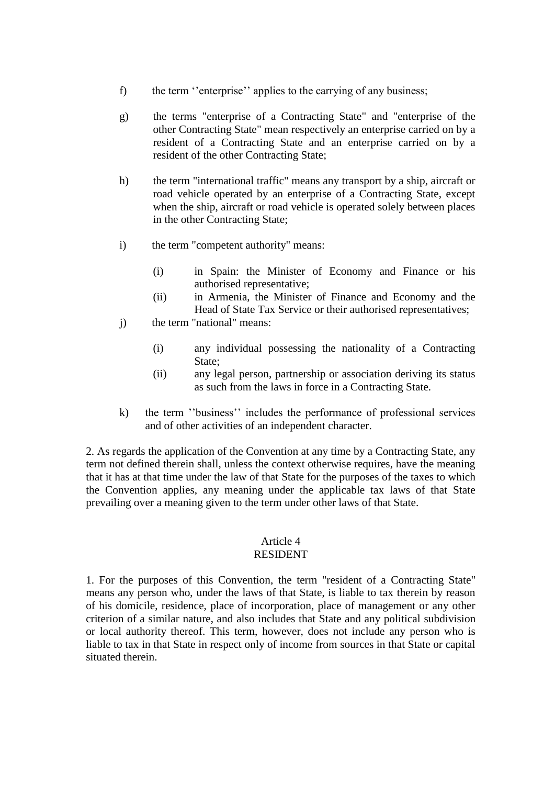- f) the term ''enterprise'' applies to the carrying of any business;
- g) the terms "enterprise of a Contracting State" and "enterprise of the other Contracting State" mean respectively an enterprise carried on by a resident of a Contracting State and an enterprise carried on by a resident of the other Contracting State;
- h) the term "international traffic" means any transport by a ship, aircraft or road vehicle operated by an enterprise of a Contracting State, except when the ship, aircraft or road vehicle is operated solely between places in the other Contracting State;
- i) the term "competent authority" means:
	- (i) in Spain: the Minister of Economy and Finance or his authorised representative;
	- (ii) in Armenia, the Minister of Finance and Economy and the Head of State Tax Service or their authorised representatives;
- j) the term "national" means:
	- (i) any individual possessing the nationality of a Contracting State;
	- (ii) any legal person, partnership or association deriving its status as such from the laws in force in a Contracting State.
- k) the term ''business'' includes the performance of professional services and of other activities of an independent character.

2. As regards the application of the Convention at any time by a Contracting State, any term not defined therein shall, unless the context otherwise requires, have the meaning that it has at that time under the law of that State for the purposes of the taxes to which the Convention applies, any meaning under the applicable tax laws of that State prevailing over a meaning given to the term under other laws of that State.

### Article 4 RESIDENT

# 1. For the purposes of this Convention, the term "resident of a Contracting State" means any person who, under the laws of that State, is liable to tax therein by reason of his domicile, residence, place of incorporation, place of management or any other criterion of a similar nature, and also includes that State and any political subdivision or local authority thereof. This term, however, does not include any person who is liable to tax in that State in respect only of income from sources in that State or capital situated therein.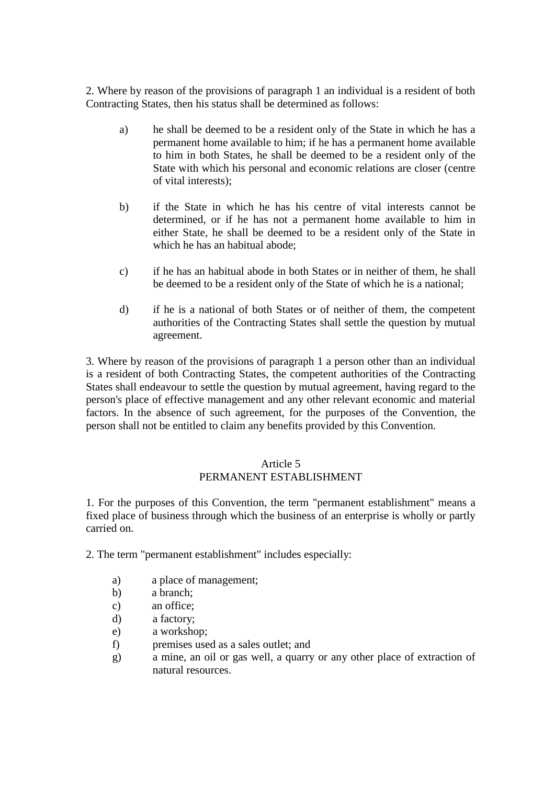2. Where by reason of the provisions of paragraph 1 an individual is a resident of both Contracting States, then his status shall be determined as follows:

- a) he shall be deemed to be a resident only of the State in which he has a permanent home available to him; if he has a permanent home available to him in both States, he shall be deemed to be a resident only of the State with which his personal and economic relations are closer (centre of vital interests);
- b) if the State in which he has his centre of vital interests cannot be determined, or if he has not a permanent home available to him in either State, he shall be deemed to be a resident only of the State in which he has an habitual abode;
- c) if he has an habitual abode in both States or in neither of them, he shall be deemed to be a resident only of the State of which he is a national;
- d) if he is a national of both States or of neither of them, the competent authorities of the Contracting States shall settle the question by mutual agreement.

3. Where by reason of the provisions of paragraph 1 a person other than an individual is a resident of both Contracting States, the competent authorities of the Contracting States shall endeavour to settle the question by mutual agreement, having regard to the person's place of effective management and any other relevant economic and material factors. In the absence of such agreement, for the purposes of the Convention, the person shall not be entitled to claim any benefits provided by this Convention.

### Article 5 PERMANENT ESTABLISHMENT

1. For the purposes of this Convention, the term "permanent establishment" means a fixed place of business through which the business of an enterprise is wholly or partly carried on.

2. The term "permanent establishment" includes especially:

- a) a place of management;
- b) a branch;
- c) an office;
- d) a factory;
- e) a workshop;
- f) premises used as a sales outlet; and
- g) a mine, an oil or gas well, a quarry or any other place of extraction of natural resources.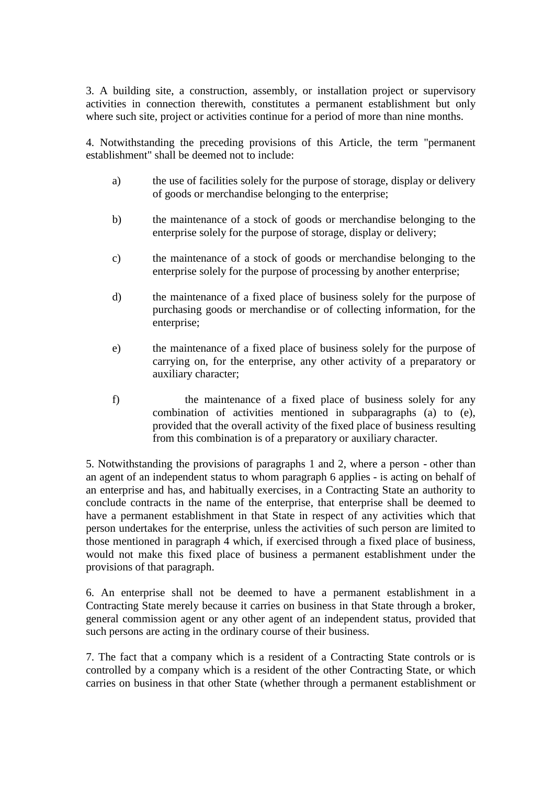3. A building site, a construction, assembly, or installation project or supervisory activities in connection therewith, constitutes a permanent establishment but only where such site, project or activities continue for a period of more than nine months.

4. Notwithstanding the preceding provisions of this Article, the term "permanent establishment" shall be deemed not to include:

- a) the use of facilities solely for the purpose of storage, display or delivery of goods or merchandise belonging to the enterprise;
- b) the maintenance of a stock of goods or merchandise belonging to the enterprise solely for the purpose of storage, display or delivery;
- c) the maintenance of a stock of goods or merchandise belonging to the enterprise solely for the purpose of processing by another enterprise;
- d) the maintenance of a fixed place of business solely for the purpose of purchasing goods or merchandise or of collecting information, for the enterprise;
- e) the maintenance of a fixed place of business solely for the purpose of carrying on, for the enterprise, any other activity of a preparatory or auxiliary character;
- f) the maintenance of a fixed place of business solely for any combination of activities mentioned in subparagraphs (a) to (e), provided that the overall activity of the fixed place of business resulting from this combination is of a preparatory or auxiliary character.

5. Notwithstanding the provisions of paragraphs 1 and 2, where a person - other than an agent of an independent status to whom paragraph 6 applies - is acting on behalf of an enterprise and has, and habitually exercises, in a Contracting State an authority to conclude contracts in the name of the enterprise, that enterprise shall be deemed to have a permanent establishment in that State in respect of any activities which that person undertakes for the enterprise, unless the activities of such person are limited to those mentioned in paragraph 4 which, if exercised through a fixed place of business, would not make this fixed place of business a permanent establishment under the provisions of that paragraph.

6. An enterprise shall not be deemed to have a permanent establishment in a Contracting State merely because it carries on business in that State through a broker, general commission agent or any other agent of an independent status, provided that such persons are acting in the ordinary course of their business.

7. The fact that a company which is a resident of a Contracting State controls or is controlled by a company which is a resident of the other Contracting State, or which carries on business in that other State (whether through a permanent establishment or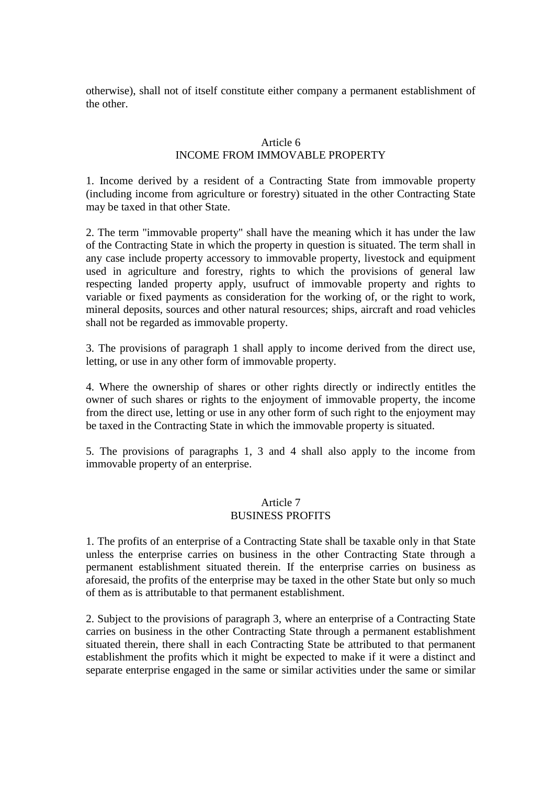otherwise), shall not of itself constitute either company a permanent establishment of the other.

# Article 6 INCOME FROM IMMOVABLE PROPERTY

1. Income derived by a resident of a Contracting State from immovable property (including income from agriculture or forestry) situated in the other Contracting State may be taxed in that other State.

2. The term "immovable property" shall have the meaning which it has under the law of the Contracting State in which the property in question is situated. The term shall in any case include property accessory to immovable property, livestock and equipment used in agriculture and forestry, rights to which the provisions of general law respecting landed property apply, usufruct of immovable property and rights to variable or fixed payments as consideration for the working of, or the right to work, mineral deposits, sources and other natural resources; ships, aircraft and road vehicles shall not be regarded as immovable property.

3. The provisions of paragraph 1 shall apply to income derived from the direct use, letting, or use in any other form of immovable property.

4. Where the ownership of shares or other rights directly or indirectly entitles the owner of such shares or rights to the enjoyment of immovable property, the income from the direct use, letting or use in any other form of such right to the enjoyment may be taxed in the Contracting State in which the immovable property is situated.

5. The provisions of paragraphs 1, 3 and 4 shall also apply to the income from immovable property of an enterprise.

### Article 7 BUSINESS PROFITS

1. The profits of an enterprise of a Contracting State shall be taxable only in that State unless the enterprise carries on business in the other Contracting State through a permanent establishment situated therein. If the enterprise carries on business as aforesaid, the profits of the enterprise may be taxed in the other State but only so much of them as is attributable to that permanent establishment.

2. Subject to the provisions of paragraph 3, where an enterprise of a Contracting State carries on business in the other Contracting State through a permanent establishment situated therein, there shall in each Contracting State be attributed to that permanent establishment the profits which it might be expected to make if it were a distinct and separate enterprise engaged in the same or similar activities under the same or similar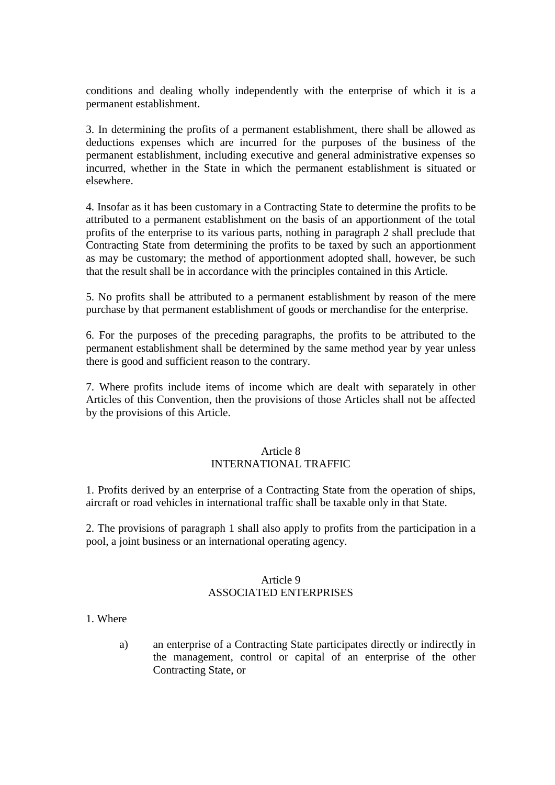conditions and dealing wholly independently with the enterprise of which it is a permanent establishment.

3. In determining the profits of a permanent establishment, there shall be allowed as deductions expenses which are incurred for the purposes of the business of the permanent establishment, including executive and general administrative expenses so incurred, whether in the State in which the permanent establishment is situated or elsewhere.

4. Insofar as it has been customary in a Contracting State to determine the profits to be attributed to a permanent establishment on the basis of an apportionment of the total profits of the enterprise to its various parts, nothing in paragraph 2 shall preclude that Contracting State from determining the profits to be taxed by such an apportionment as may be customary; the method of apportionment adopted shall, however, be such that the result shall be in accordance with the principles contained in this Article.

5. No profits shall be attributed to a permanent establishment by reason of the mere purchase by that permanent establishment of goods or merchandise for the enterprise.

6. For the purposes of the preceding paragraphs, the profits to be attributed to the permanent establishment shall be determined by the same method year by year unless there is good and sufficient reason to the contrary.

7. Where profits include items of income which are dealt with separately in other Articles of this Convention, then the provisions of those Articles shall not be affected by the provisions of this Article.

# Article 8 INTERNATIONAL TRAFFIC

1. Profits derived by an enterprise of a Contracting State from the operation of ships, aircraft or road vehicles in international traffic shall be taxable only in that State.

2. The provisions of paragraph 1 shall also apply to profits from the participation in a pool, a joint business or an international operating agency.

# Article 9 ASSOCIATED ENTERPRISES

1. Where

a) an enterprise of a Contracting State participates directly or indirectly in the management, control or capital of an enterprise of the other Contracting State, or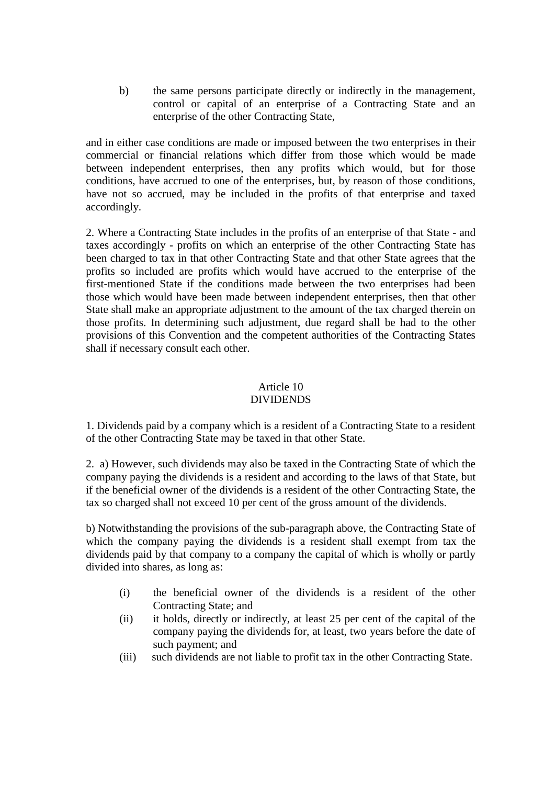b) the same persons participate directly or indirectly in the management, control or capital of an enterprise of a Contracting State and an enterprise of the other Contracting State,

and in either case conditions are made or imposed between the two enterprises in their commercial or financial relations which differ from those which would be made between independent enterprises, then any profits which would, but for those conditions, have accrued to one of the enterprises, but, by reason of those conditions, have not so accrued, may be included in the profits of that enterprise and taxed accordingly.

2. Where a Contracting State includes in the profits of an enterprise of that State - and taxes accordingly - profits on which an enterprise of the other Contracting State has been charged to tax in that other Contracting State and that other State agrees that the profits so included are profits which would have accrued to the enterprise of the first-mentioned State if the conditions made between the two enterprises had been those which would have been made between independent enterprises, then that other State shall make an appropriate adjustment to the amount of the tax charged therein on those profits. In determining such adjustment, due regard shall be had to the other provisions of this Convention and the competent authorities of the Contracting States shall if necessary consult each other.

# Article 10

# DIVIDENDS

1. Dividends paid by a company which is a resident of a Contracting State to a resident of the other Contracting State may be taxed in that other State.

2. a) However, such dividends may also be taxed in the Contracting State of which the company paying the dividends is a resident and according to the laws of that State, but if the beneficial owner of the dividends is a resident of the other Contracting State, the tax so charged shall not exceed 10 per cent of the gross amount of the dividends.

b) Notwithstanding the provisions of the sub-paragraph above, the Contracting State of which the company paying the dividends is a resident shall exempt from tax the dividends paid by that company to a company the capital of which is wholly or partly divided into shares, as long as:

- (i) the beneficial owner of the dividends is a resident of the other Contracting State; and
- (ii) it holds, directly or indirectly, at least 25 per cent of the capital of the company paying the dividends for, at least, two years before the date of such payment; and
- (iii) such dividends are not liable to profit tax in the other Contracting State.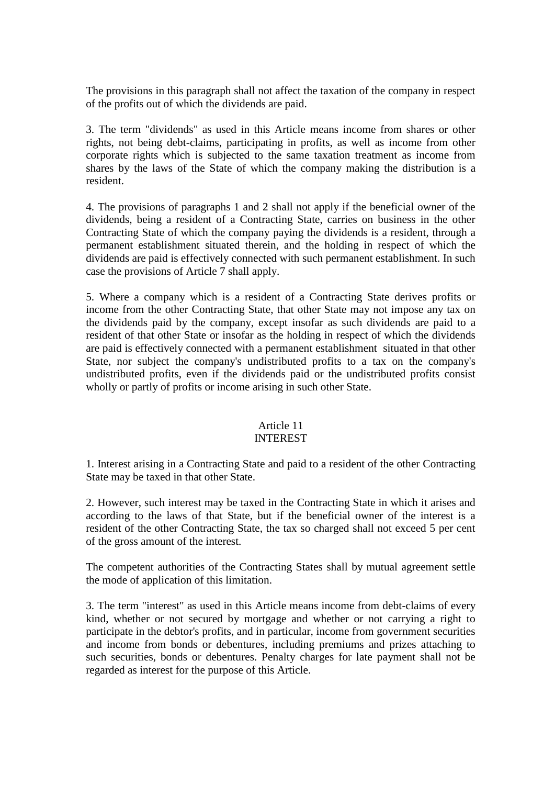The provisions in this paragraph shall not affect the taxation of the company in respect of the profits out of which the dividends are paid.

3. The term "dividends" as used in this Article means income from shares or other rights, not being debt-claims, participating in profits, as well as income from other corporate rights which is subjected to the same taxation treatment as income from shares by the laws of the State of which the company making the distribution is a resident.

4. The provisions of paragraphs 1 and 2 shall not apply if the beneficial owner of the dividends, being a resident of a Contracting State, carries on business in the other Contracting State of which the company paying the dividends is a resident, through a permanent establishment situated therein, and the holding in respect of which the dividends are paid is effectively connected with such permanent establishment. In such case the provisions of Article 7 shall apply.

5. Where a company which is a resident of a Contracting State derives profits or income from the other Contracting State, that other State may not impose any tax on the dividends paid by the company, except insofar as such dividends are paid to a resident of that other State or insofar as the holding in respect of which the dividends are paid is effectively connected with a permanent establishment situated in that other State, nor subject the company's undistributed profits to a tax on the company's undistributed profits, even if the dividends paid or the undistributed profits consist wholly or partly of profits or income arising in such other State.

### Article 11 INTEREST

1. Interest arising in a Contracting State and paid to a resident of the other Contracting State may be taxed in that other State.

2. However, such interest may be taxed in the Contracting State in which it arises and according to the laws of that State, but if the beneficial owner of the interest is a resident of the other Contracting State, the tax so charged shall not exceed 5 per cent of the gross amount of the interest.

The competent authorities of the Contracting States shall by mutual agreement settle the mode of application of this limitation.

3. The term "interest" as used in this Article means income from debt-claims of every kind, whether or not secured by mortgage and whether or not carrying a right to participate in the debtor's profits, and in particular, income from government securities and income from bonds or debentures, including premiums and prizes attaching to such securities, bonds or debentures. Penalty charges for late payment shall not be regarded as interest for the purpose of this Article.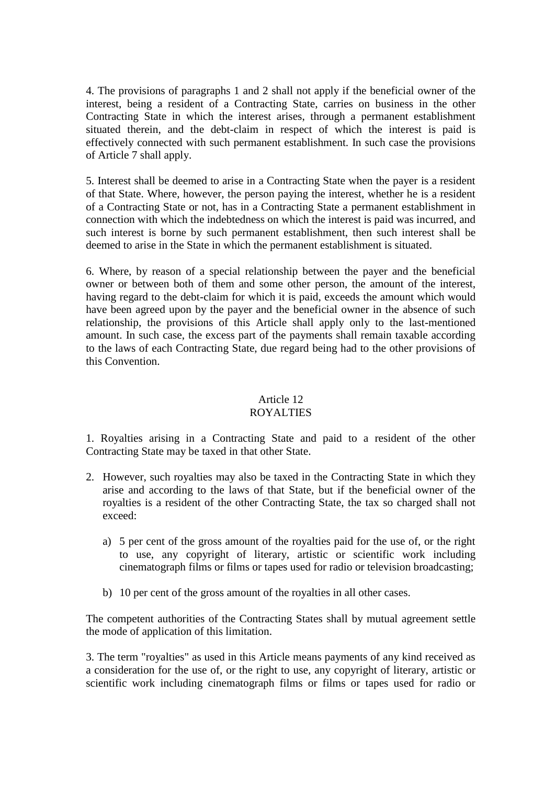4. The provisions of paragraphs 1 and 2 shall not apply if the beneficial owner of the interest, being a resident of a Contracting State, carries on business in the other Contracting State in which the interest arises, through a permanent establishment situated therein, and the debt-claim in respect of which the interest is paid is effectively connected with such permanent establishment. In such case the provisions of Article 7 shall apply.

5. Interest shall be deemed to arise in a Contracting State when the payer is a resident of that State. Where, however, the person paying the interest, whether he is a resident of a Contracting State or not, has in a Contracting State a permanent establishment in connection with which the indebtedness on which the interest is paid was incurred, and such interest is borne by such permanent establishment, then such interest shall be deemed to arise in the State in which the permanent establishment is situated.

6. Where, by reason of a special relationship between the payer and the beneficial owner or between both of them and some other person, the amount of the interest, having regard to the debt-claim for which it is paid, exceeds the amount which would have been agreed upon by the payer and the beneficial owner in the absence of such relationship, the provisions of this Article shall apply only to the last-mentioned amount. In such case, the excess part of the payments shall remain taxable according to the laws of each Contracting State, due regard being had to the other provisions of this Convention.

# Article 12

# ROYALTIES

1. Royalties arising in a Contracting State and paid to a resident of the other Contracting State may be taxed in that other State.

- 2. However, such royalties may also be taxed in the Contracting State in which they arise and according to the laws of that State, but if the beneficial owner of the royalties is a resident of the other Contracting State, the tax so charged shall not exceed:
	- a) 5 per cent of the gross amount of the royalties paid for the use of, or the right to use, any copyright of literary, artistic or scientific work including cinematograph films or films or tapes used for radio or television broadcasting;
	- b) 10 per cent of the gross amount of the royalties in all other cases.

The competent authorities of the Contracting States shall by mutual agreement settle the mode of application of this limitation.

3. The term "royalties" as used in this Article means payments of any kind received as a consideration for the use of, or the right to use, any copyright of literary, artistic or scientific work including cinematograph films or films or tapes used for radio or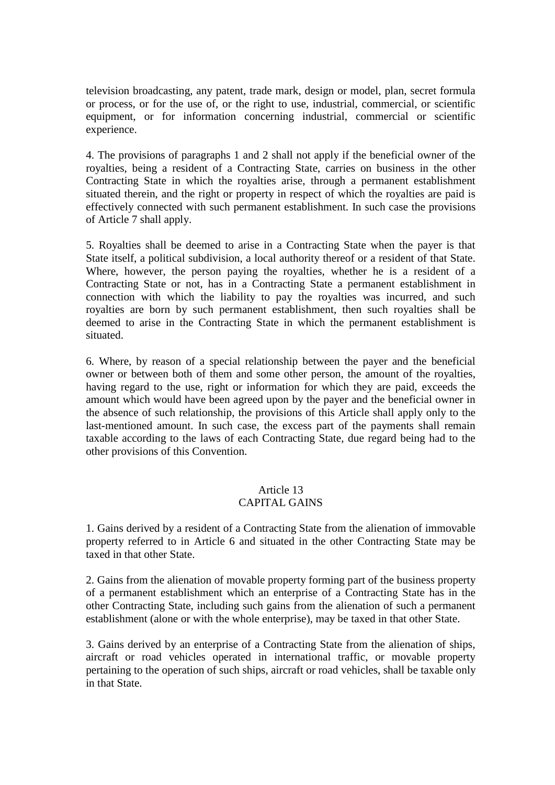television broadcasting, any patent, trade mark, design or model, plan, secret formula or process, or for the use of, or the right to use, industrial, commercial, or scientific equipment, or for information concerning industrial, commercial or scientific experience.

4. The provisions of paragraphs 1 and 2 shall not apply if the beneficial owner of the royalties, being a resident of a Contracting State, carries on business in the other Contracting State in which the royalties arise, through a permanent establishment situated therein, and the right or property in respect of which the royalties are paid is effectively connected with such permanent establishment. In such case the provisions of Article 7 shall apply.

5. Royalties shall be deemed to arise in a Contracting State when the payer is that State itself, a political subdivision, a local authority thereof or a resident of that State. Where, however, the person paying the royalties, whether he is a resident of a Contracting State or not, has in a Contracting State a permanent establishment in connection with which the liability to pay the royalties was incurred, and such royalties are born by such permanent establishment, then such royalties shall be deemed to arise in the Contracting State in which the permanent establishment is situated.

6. Where, by reason of a special relationship between the payer and the beneficial owner or between both of them and some other person, the amount of the royalties, having regard to the use, right or information for which they are paid, exceeds the amount which would have been agreed upon by the payer and the beneficial owner in the absence of such relationship, the provisions of this Article shall apply only to the last-mentioned amount. In such case, the excess part of the payments shall remain taxable according to the laws of each Contracting State, due regard being had to the other provisions of this Convention.

# Article 13 CAPITAL GAINS

1. Gains derived by a resident of a Contracting State from the alienation of immovable property referred to in Article 6 and situated in the other Contracting State may be taxed in that other State.

2. Gains from the alienation of movable property forming part of the business property of a permanent establishment which an enterprise of a Contracting State has in the other Contracting State, including such gains from the alienation of such a permanent establishment (alone or with the whole enterprise), may be taxed in that other State.

3. Gains derived by an enterprise of a Contracting State from the alienation of ships, aircraft or road vehicles operated in international traffic, or movable property pertaining to the operation of such ships, aircraft or road vehicles, shall be taxable only in that State.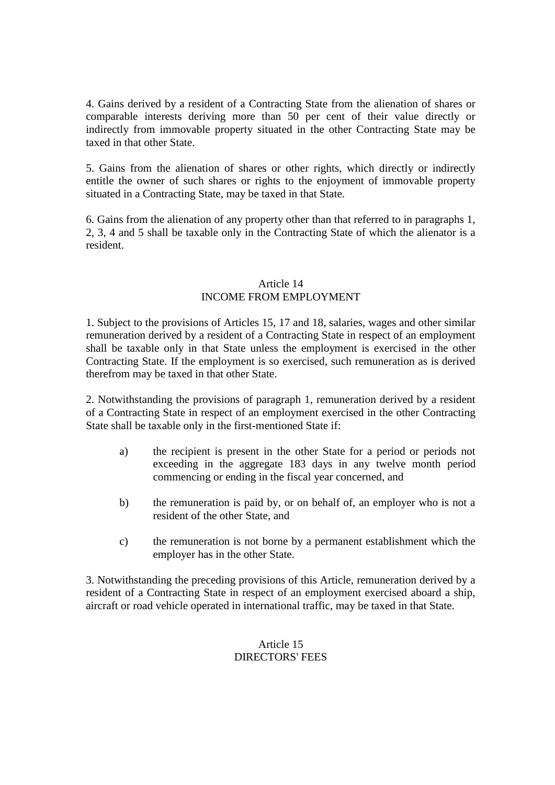4. Gains derived by a resident of a Contracting State from the alienation of shares or comparable interests deriving more than 50 per cent of their value directly or indirectly from immovable property situated in the other Contracting State may be taxed in that other State.

5. Gains from the alienation of shares or other rights, which directly or indirectly entitle the owner of such shares or rights to the enjoyment of immovable property situated in a Contracting State, may be taxed in that State.

6. Gains from the alienation of any property other than that referred to in paragraphs 1, 2, 3, 4 and 5 shall be taxable only in the Contracting State of which the alienator is a resident.

# Article 14 INCOME FROM EMPLOYMENT

1. Subject to the provisions of Articles 15, 17 and 18, salaries, wages and other similar remuneration derived by a resident of a Contracting State in respect of an employment shall be taxable only in that State unless the employment is exercised in the other Contracting State. If the employment is so exercised, such remuneration as is derived therefrom may be taxed in that other State.

2. Notwithstanding the provisions of paragraph 1, remuneration derived by a resident of a Contracting State in respect of an employment exercised in the other Contracting State shall be taxable only in the first-mentioned State if:

- a) the recipient is present in the other State for a period or periods not exceeding in the aggregate 183 days in any twelve month period commencing or ending in the fiscal year concerned, and
- b) the remuneration is paid by, or on behalf of, an employer who is not a resident of the other State, and
- c) the remuneration is not borne by a permanent establishment which the employer has in the other State.

3. Notwithstanding the preceding provisions of this Article, remuneration derived by a resident of a Contracting State in respect of an employment exercised aboard a ship, aircraft or road vehicle operated in international traffic, may be taxed in that State.

# Article 15 DIRECTORS' FEES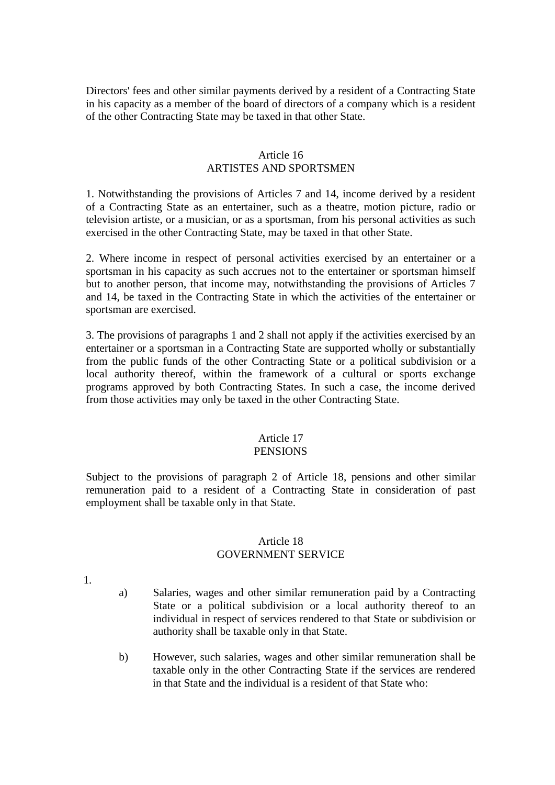Directors' fees and other similar payments derived by a resident of a Contracting State in his capacity as a member of the board of directors of a company which is a resident of the other Contracting State may be taxed in that other State.

# Article 16 ARTISTES AND SPORTSMEN

1. Notwithstanding the provisions of Articles 7 and 14, income derived by a resident of a Contracting State as an entertainer, such as a theatre, motion picture, radio or television artiste, or a musician, or as a sportsman, from his personal activities as such exercised in the other Contracting State, may be taxed in that other State.

2. Where income in respect of personal activities exercised by an entertainer or a sportsman in his capacity as such accrues not to the entertainer or sportsman himself but to another person, that income may, notwithstanding the provisions of Articles 7 and 14, be taxed in the Contracting State in which the activities of the entertainer or sportsman are exercised.

3. The provisions of paragraphs 1 and 2 shall not apply if the activities exercised by an entertainer or a sportsman in a Contracting State are supported wholly or substantially from the public funds of the other Contracting State or a political subdivision or a local authority thereof, within the framework of a cultural or sports exchange programs approved by both Contracting States. In such a case, the income derived from those activities may only be taxed in the other Contracting State.

# Article 17

# PENSIONS

Subject to the provisions of paragraph 2 of Article 18, pensions and other similar remuneration paid to a resident of a Contracting State in consideration of past employment shall be taxable only in that State.

# Article 18 GOVERNMENT SERVICE

1.

- a) Salaries, wages and other similar remuneration paid by a Contracting State or a political subdivision or a local authority thereof to an individual in respect of services rendered to that State or subdivision or authority shall be taxable only in that State.
- b) However, such salaries, wages and other similar remuneration shall be taxable only in the other Contracting State if the services are rendered in that State and the individual is a resident of that State who: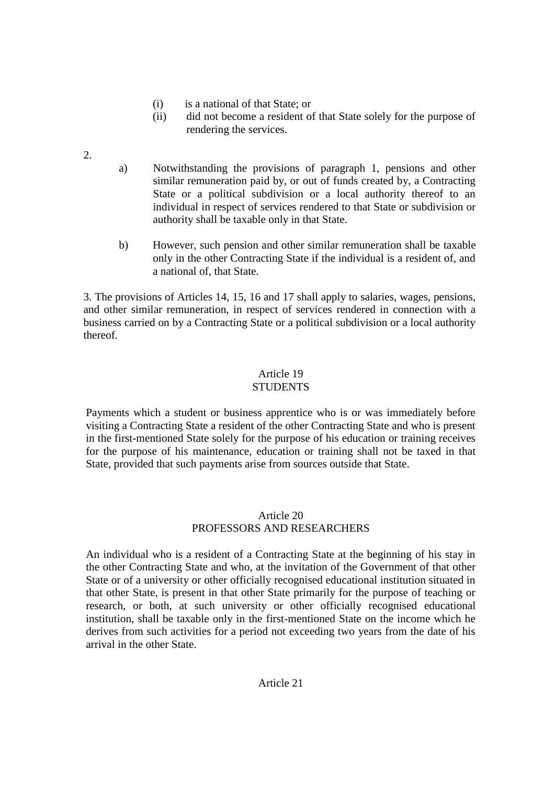- (i) is a national of that State; or
- (ii) did not become a resident of that State solely for the purpose of rendering the services.
- 2.
- a) Notwithstanding the provisions of paragraph 1, pensions and other similar remuneration paid by, or out of funds created by, a Contracting State or a political subdivision or a local authority thereof to an individual in respect of services rendered to that State or subdivision or authority shall be taxable only in that State.
- b) However, such pension and other similar remuneration shall be taxable only in the other Contracting State if the individual is a resident of, and a national of, that State.

3. The provisions of Articles 14, 15, 16 and 17 shall apply to salaries, wages, pensions, and other similar remuneration, in respect of services rendered in connection with a business carried on by a Contracting State or a political subdivision or a local authority thereof.

### Article 19 **STUDENTS**

Payments which a student or business apprentice who is or was immediately before visiting a Contracting State a resident of the other Contracting State and who is present in the first-mentioned State solely for the purpose of his education or training receives for the purpose of his maintenance, education or training shall not be taxed in that State, provided that such payments arise from sources outside that State.

# Article 20 PROFESSORS AND RESEARCHERS

An individual who is a resident of a Contracting State at the beginning of his stay in the other Contracting State and who, at the invitation of the Government of that other State or of a university or other officially recognised educational institution situated in that other State, is present in that other State primarily for the purpose of teaching or research, or both, at such university or other officially recognised educational institution, shall be taxable only in the first-mentioned State on the income which he derives from such activities for a period not exceeding two years from the date of his arrival in the other State.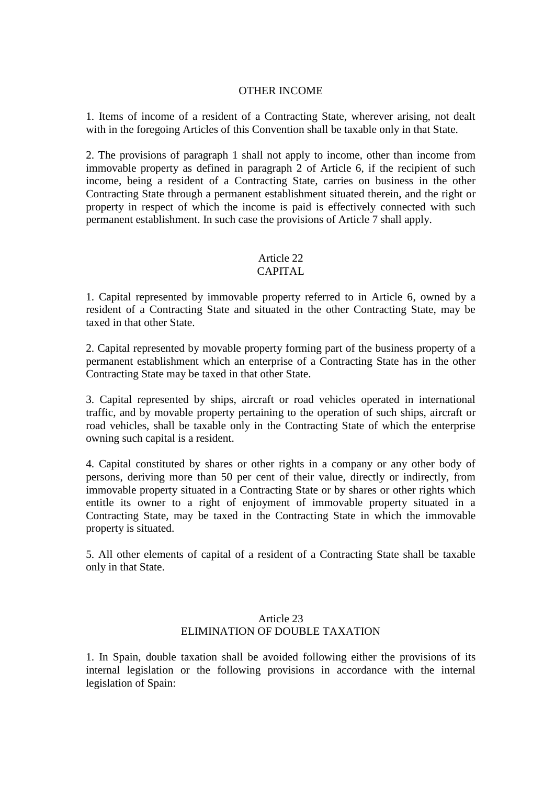### OTHER INCOME

1. Items of income of a resident of a Contracting State, wherever arising, not dealt with in the foregoing Articles of this Convention shall be taxable only in that State.

2. The provisions of paragraph 1 shall not apply to income, other than income from immovable property as defined in paragraph 2 of Article 6, if the recipient of such income, being a resident of a Contracting State, carries on business in the other Contracting State through a permanent establishment situated therein, and the right or property in respect of which the income is paid is effectively connected with such permanent establishment. In such case the provisions of Article 7 shall apply.

#### Article 22 CAPITAL

1. Capital represented by immovable property referred to in Article 6, owned by a resident of a Contracting State and situated in the other Contracting State, may be taxed in that other State.

2. Capital represented by movable property forming part of the business property of a permanent establishment which an enterprise of a Contracting State has in the other Contracting State may be taxed in that other State.

3. Capital represented by ships, aircraft or road vehicles operated in international traffic, and by movable property pertaining to the operation of such ships, aircraft or road vehicles, shall be taxable only in the Contracting State of which the enterprise owning such capital is a resident.

4. Capital constituted by shares or other rights in a company or any other body of persons, deriving more than 50 per cent of their value, directly or indirectly, from immovable property situated in a Contracting State or by shares or other rights which entitle its owner to a right of enjoyment of immovable property situated in a Contracting State, may be taxed in the Contracting State in which the immovable property is situated.

5. All other elements of capital of a resident of a Contracting State shall be taxable only in that State.

# Article 23 ELIMINATION OF DOUBLE TAXATION

1. In Spain, double taxation shall be avoided following either the provisions of its internal legislation or the following provisions in accordance with the internal legislation of Spain: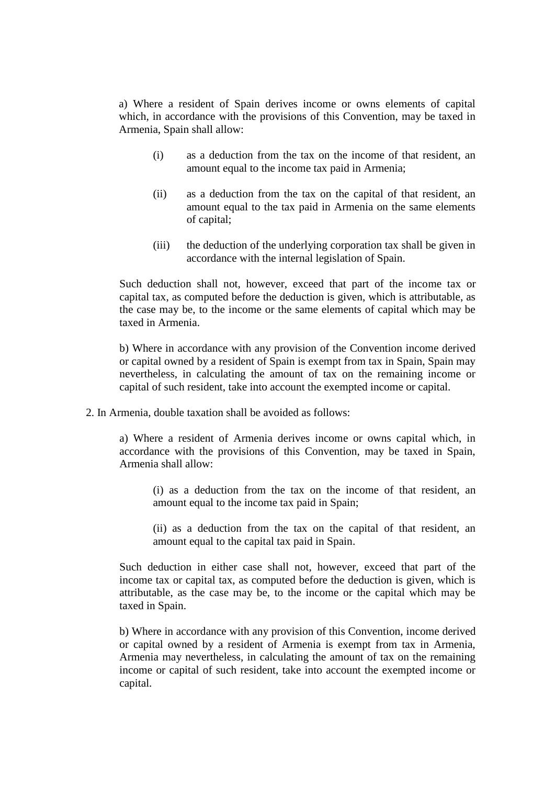a) Where a resident of Spain derives income or owns elements of capital which, in accordance with the provisions of this Convention, may be taxed in Armenia, Spain shall allow:

- (i) as a deduction from the tax on the income of that resident, an amount equal to the income tax paid in Armenia;
- (ii) as a deduction from the tax on the capital of that resident, an amount equal to the tax paid in Armenia on the same elements of capital;
- (iii) the deduction of the underlying corporation tax shall be given in accordance with the internal legislation of Spain.

Such deduction shall not, however, exceed that part of the income tax or capital tax, as computed before the deduction is given, which is attributable, as the case may be, to the income or the same elements of capital which may be taxed in Armenia.

b) Where in accordance with any provision of the Convention income derived or capital owned by a resident of Spain is exempt from tax in Spain, Spain may nevertheless, in calculating the amount of tax on the remaining income or capital of such resident, take into account the exempted income or capital.

2. In Armenia, double taxation shall be avoided as follows:

a) Where a resident of Armenia derives income or owns capital which, in accordance with the provisions of this Convention, may be taxed in Spain, Armenia shall allow:

(i) as a deduction from the tax on the income of that resident, an amount equal to the income tax paid in Spain;

(ii) as a deduction from the tax on the capital of that resident, an amount equal to the capital tax paid in Spain.

Such deduction in either case shall not, however, exceed that part of the income tax or capital tax, as computed before the deduction is given, which is attributable, as the case may be, to the income or the capital which may be taxed in Spain.

b) Where in accordance with any provision of this Convention, income derived or capital owned by a resident of Armenia is exempt from tax in Armenia, Armenia may nevertheless, in calculating the amount of tax on the remaining income or capital of such resident, take into account the exempted income or capital.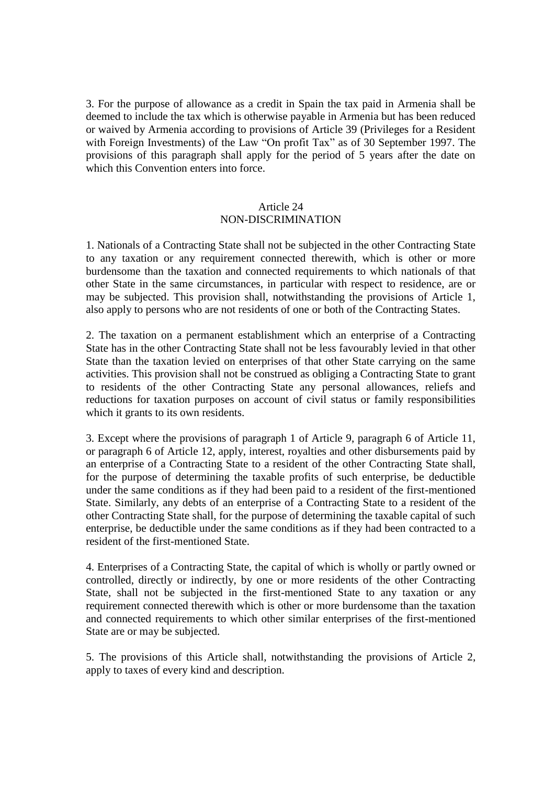3. For the purpose of allowance as a credit in Spain the tax paid in Armenia shall be deemed to include the tax which is otherwise payable in Armenia but has been reduced or waived by Armenia according to provisions of Article 39 (Privileges for a Resident with Foreign Investments) of the Law "On profit Tax" as of 30 September 1997. The provisions of this paragraph shall apply for the period of 5 years after the date on which this Convention enters into force.

### Article 24 NON-DISCRIMINATION

1. Nationals of a Contracting State shall not be subjected in the other Contracting State to any taxation or any requirement connected therewith, which is other or more burdensome than the taxation and connected requirements to which nationals of that other State in the same circumstances, in particular with respect to residence, are or may be subjected. This provision shall, notwithstanding the provisions of Article 1, also apply to persons who are not residents of one or both of the Contracting States.

2. The taxation on a permanent establishment which an enterprise of a Contracting State has in the other Contracting State shall not be less favourably levied in that other State than the taxation levied on enterprises of that other State carrying on the same activities. This provision shall not be construed as obliging a Contracting State to grant to residents of the other Contracting State any personal allowances, reliefs and reductions for taxation purposes on account of civil status or family responsibilities which it grants to its own residents.

3. Except where the provisions of paragraph 1 of Article 9, paragraph 6 of Article 11, or paragraph 6 of Article 12, apply, interest, royalties and other disbursements paid by an enterprise of a Contracting State to a resident of the other Contracting State shall, for the purpose of determining the taxable profits of such enterprise, be deductible under the same conditions as if they had been paid to a resident of the first-mentioned State. Similarly, any debts of an enterprise of a Contracting State to a resident of the other Contracting State shall, for the purpose of determining the taxable capital of such enterprise, be deductible under the same conditions as if they had been contracted to a resident of the first-mentioned State.

4. Enterprises of a Contracting State, the capital of which is wholly or partly owned or controlled, directly or indirectly, by one or more residents of the other Contracting State, shall not be subjected in the first-mentioned State to any taxation or any requirement connected therewith which is other or more burdensome than the taxation and connected requirements to which other similar enterprises of the first-mentioned State are or may be subjected.

5. The provisions of this Article shall, notwithstanding the provisions of Article 2, apply to taxes of every kind and description.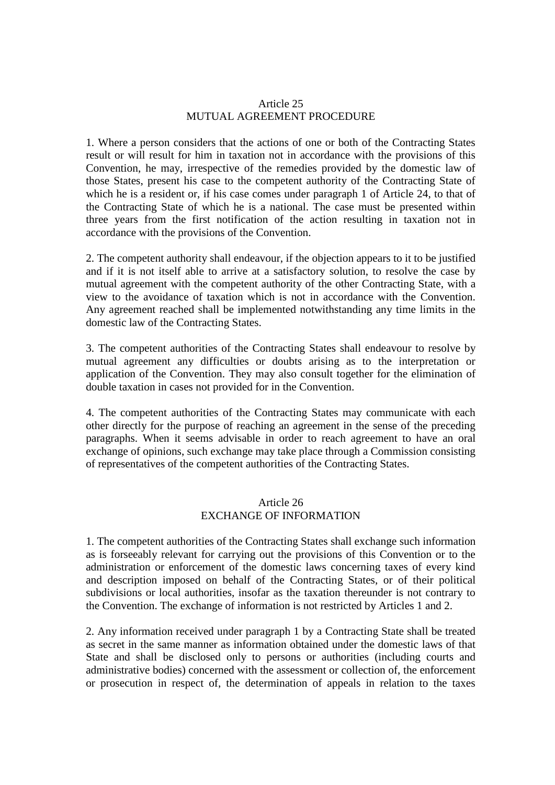# Article 25 MUTUAL AGREEMENT PROCEDURE

1. Where a person considers that the actions of one or both of the Contracting States result or will result for him in taxation not in accordance with the provisions of this Convention, he may, irrespective of the remedies provided by the domestic law of those States, present his case to the competent authority of the Contracting State of which he is a resident or, if his case comes under paragraph 1 of Article 24, to that of the Contracting State of which he is a national. The case must be presented within three years from the first notification of the action resulting in taxation not in accordance with the provisions of the Convention.

2. The competent authority shall endeavour, if the objection appears to it to be justified and if it is not itself able to arrive at a satisfactory solution, to resolve the case by mutual agreement with the competent authority of the other Contracting State, with a view to the avoidance of taxation which is not in accordance with the Convention. Any agreement reached shall be implemented notwithstanding any time limits in the domestic law of the Contracting States.

3. The competent authorities of the Contracting States shall endeavour to resolve by mutual agreement any difficulties or doubts arising as to the interpretation or application of the Convention. They may also consult together for the elimination of double taxation in cases not provided for in the Convention.

4. The competent authorities of the Contracting States may communicate with each other directly for the purpose of reaching an agreement in the sense of the preceding paragraphs. When it seems advisable in order to reach agreement to have an oral exchange of opinions, such exchange may take place through a Commission consisting of representatives of the competent authorities of the Contracting States.

# Article 26 EXCHANGE OF INFORMATION

1. The competent authorities of the Contracting States shall exchange such information as is forseeably relevant for carrying out the provisions of this Convention or to the administration or enforcement of the domestic laws concerning taxes of every kind and description imposed on behalf of the Contracting States, or of their political subdivisions or local authorities, insofar as the taxation thereunder is not contrary to the Convention. The exchange of information is not restricted by Articles 1 and 2.

2. Any information received under paragraph 1 by a Contracting State shall be treated as secret in the same manner as information obtained under the domestic laws of that State and shall be disclosed only to persons or authorities (including courts and administrative bodies) concerned with the assessment or collection of, the enforcement or prosecution in respect of, the determination of appeals in relation to the taxes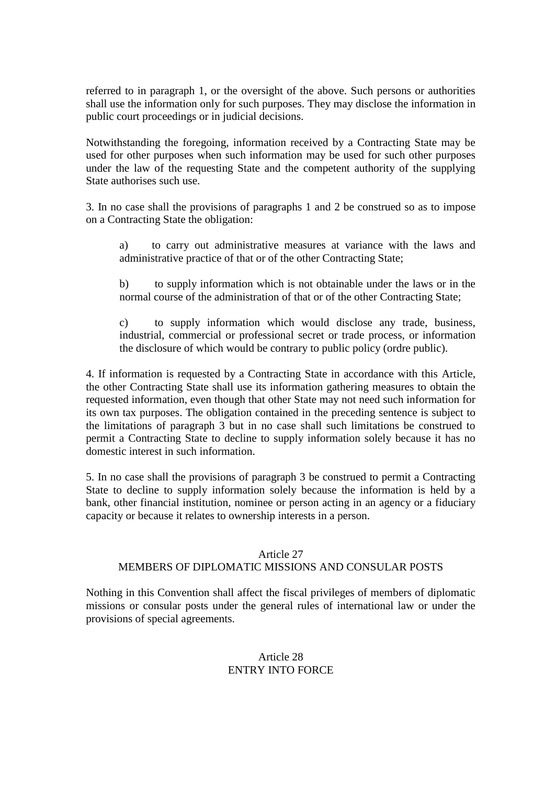referred to in paragraph 1, or the oversight of the above. Such persons or authorities shall use the information only for such purposes. They may disclose the information in public court proceedings or in judicial decisions.

Notwithstanding the foregoing, information received by a Contracting State may be used for other purposes when such information may be used for such other purposes under the law of the requesting State and the competent authority of the supplying State authorises such use.

3. In no case shall the provisions of paragraphs 1 and 2 be construed so as to impose on a Contracting State the obligation:

a) to carry out administrative measures at variance with the laws and administrative practice of that or of the other Contracting State;

b) to supply information which is not obtainable under the laws or in the normal course of the administration of that or of the other Contracting State;

c) to supply information which would disclose any trade, business, industrial, commercial or professional secret or trade process, or information the disclosure of which would be contrary to public policy (ordre public).

4. If information is requested by a Contracting State in accordance with this Article, the other Contracting State shall use its information gathering measures to obtain the requested information, even though that other State may not need such information for its own tax purposes. The obligation contained in the preceding sentence is subject to the limitations of paragraph 3 but in no case shall such limitations be construed to permit a Contracting State to decline to supply information solely because it has no domestic interest in such information.

5. In no case shall the provisions of paragraph 3 be construed to permit a Contracting State to decline to supply information solely because the information is held by a bank, other financial institution, nominee or person acting in an agency or a fiduciary capacity or because it relates to ownership interests in a person.

### Article 27

# MEMBERS OF DIPLOMATIC MISSIONS AND CONSULAR POSTS

Nothing in this Convention shall affect the fiscal privileges of members of diplomatic missions or consular posts under the general rules of international law or under the provisions of special agreements.

# Article 28 ENTRY INTO FORCE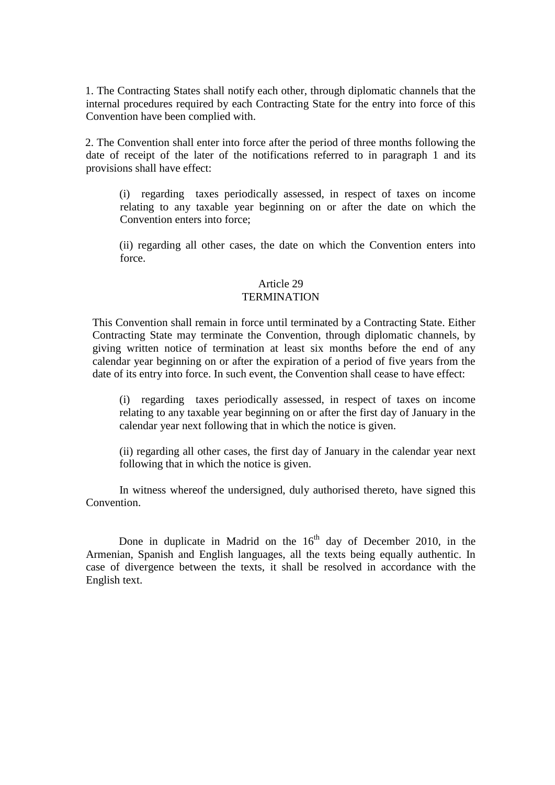1. The Contracting States shall notify each other, through diplomatic channels that the internal procedures required by each Contracting State for the entry into force of this Convention have been complied with.

2. The Convention shall enter into force after the period of three months following the date of receipt of the later of the notifications referred to in paragraph 1 and its provisions shall have effect:

(i) regarding taxes periodically assessed, in respect of taxes on income relating to any taxable year beginning on or after the date on which the Convention enters into force;

(ii) regarding all other cases, the date on which the Convention enters into force.

### Article 29

### **TERMINATION**

This Convention shall remain in force until terminated by a Contracting State. Either Contracting State may terminate the Convention, through diplomatic channels, by giving written notice of termination at least six months before the end of any calendar year beginning on or after the expiration of a period of five years from the date of its entry into force. In such event, the Convention shall cease to have effect:

(i) regarding taxes periodically assessed, in respect of taxes on income relating to any taxable year beginning on or after the first day of January in the calendar year next following that in which the notice is given.

(ii) regarding all other cases, the first day of January in the calendar year next following that in which the notice is given.

In witness whereof the undersigned, duly authorised thereto, have signed this Convention.

Done in duplicate in Madrid on the  $16<sup>th</sup>$  day of December 2010, in the Armenian, Spanish and English languages, all the texts being equally authentic. In case of divergence between the texts, it shall be resolved in accordance with the English text.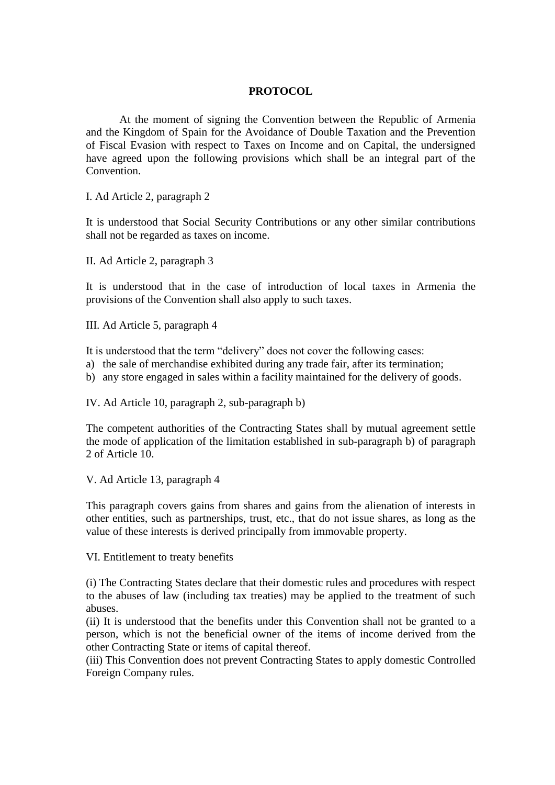# **PROTOCOL**

At the moment of signing the Convention between the Republic of Armenia and the Kingdom of Spain for the Avoidance of Double Taxation and the Prevention of Fiscal Evasion with respect to Taxes on Income and on Capital, the undersigned have agreed upon the following provisions which shall be an integral part of the **Convention** 

I. Ad Article 2, paragraph 2

It is understood that Social Security Contributions or any other similar contributions shall not be regarded as taxes on income.

II. Ad Article 2, paragraph 3

It is understood that in the case of introduction of local taxes in Armenia the provisions of the Convention shall also apply to such taxes.

III. Ad Article 5, paragraph 4

It is understood that the term "delivery" does not cover the following cases:

a) the sale of merchandise exhibited during any trade fair, after its termination;

b) any store engaged in sales within a facility maintained for the delivery of goods.

IV. Ad Article 10, paragraph 2, sub-paragraph b)

The competent authorities of the Contracting States shall by mutual agreement settle the mode of application of the limitation established in sub-paragraph b) of paragraph 2 of Article 10.

V. Ad Article 13, paragraph 4

This paragraph covers gains from shares and gains from the alienation of interests in other entities, such as partnerships, trust, etc., that do not issue shares, as long as the value of these interests is derived principally from immovable property.

VI. Entitlement to treaty benefits

(i) The Contracting States declare that their domestic rules and procedures with respect to the abuses of law (including tax treaties) may be applied to the treatment of such abuses.

(ii) It is understood that the benefits under this Convention shall not be granted to a person, which is not the beneficial owner of the items of income derived from the other Contracting State or items of capital thereof.

(iii) This Convention does not prevent Contracting States to apply domestic Controlled Foreign Company rules.